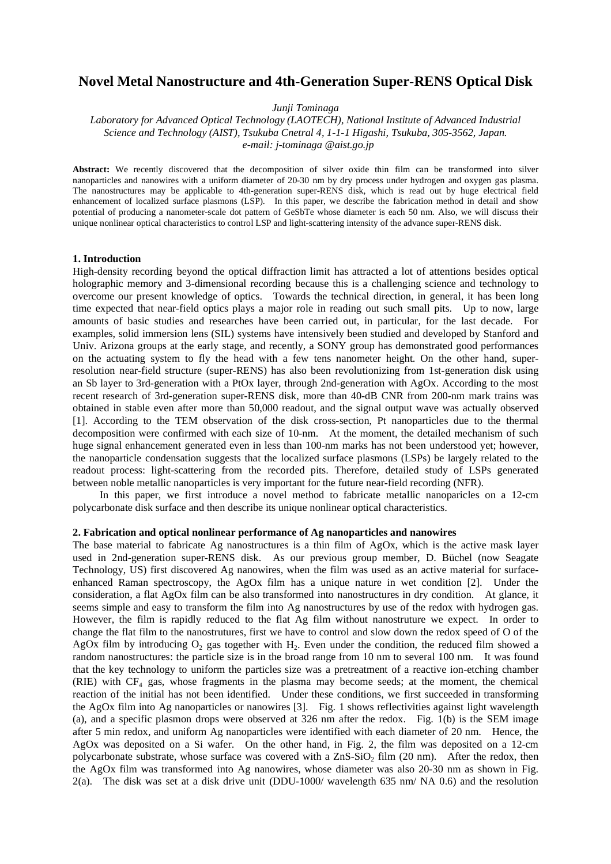# **Novel Metal Nanostructure and 4th-Generation Super-RENS Optical Disk**

*Junji Tominaga*

*Laboratory for Advanced Optical Technology (LAOTECH), National Institute of Advanced Industrial Science and Technology (AIST), Tsukuba Cnetral 4, 1-1-1 Higashi, Tsukuba, 305-3562, Japan. e-mail: j-tominaga @aist.go.jp*

**Abstract:** We recently discovered that the decomposition of silver oxide thin film can be transformed into silver nanoparticles and nanowires with a uniform diameter of 20-30 nm by dry process under hydrogen and oxygen gas plasma. The nanostructures may be applicable to 4th-generation super-RENS disk, which is read out by huge electrical field enhancement of localized surface plasmons (LSP). In this paper, we describe the fabrication method in detail and show potential of producing a nanometer-scale dot pattern of GeSbTe whose diameter is each 50 nm. Also, we will discuss their unique nonlinear optical characteristics to control LSP and light-scattering intensity of the advance super-RENS disk.

#### **1. Introduction**

High-density recording beyond the optical diffraction limit has attracted a lot of attentions besides optical holographic memory and 3-dimensional recording because this is a challenging science and technology to overcome our present knowledge of optics. Towards the technical direction, in general, it has been long time expected that near-field optics plays a major role in reading out such small pits. Up to now, large amounts of basic studies and researches have been carried out, in particular, for the last decade. For examples, solid immersion lens (SIL) systems have intensively been studied and developed by Stanford and Univ. Arizona groups at the early stage, and recently, a SONY group has demonstrated good performances on the actuating system to fly the head with a few tens nanometer height. On the other hand, superresolution near-field structure (super-RENS) has also been revolutionizing from 1st-generation disk using an Sb layer to 3rd-generation with a PtOx layer, through 2nd-generation with AgOx. According to the most recent research of 3rd-generation super-RENS disk, more than 40-dB CNR from 200-nm mark trains was obtained in stable even after more than 50,000 readout, and the signal output wave was actually observed [1]. According to the TEM observation of the disk cross-section, Pt nanoparticles due to the thermal decomposition were confirmed with each size of 10-nm. At the moment, the detailed mechanism of such huge signal enhancement generated even in less than 100-nm marks has not been understood yet; however, the nanoparticle condensation suggests that the localized surface plasmons (LSPs) be largely related to the readout process: light-scattering from the recorded pits. Therefore, detailed study of LSPs generated between noble metallic nanoparticles is very important for the future near-field recording (NFR).

 In this paper, we first introduce a novel method to fabricate metallic nanoparicles on a 12-cm polycarbonate disk surface and then describe its unique nonlinear optical characteristics.

### **2. Fabrication and optical nonlinear performance of Ag nanoparticles and nanowires**

The base material to fabricate Ag nanostructures is a thin film of AgOx, which is the active mask layer used in 2nd-generation super-RENS disk. As our previous group member, D. Büchel (now Seagate Technology, US) first discovered Ag nanowires, when the film was used as an active material for surfaceenhanced Raman spectroscopy, the AgOx film has a unique nature in wet condition [2]. Under the consideration, a flat AgOx film can be also transformed into nanostructures in dry condition. At glance, it seems simple and easy to transform the film into Ag nanostructures by use of the redox with hydrogen gas. However, the film is rapidly reduced to the flat Ag film without nanostruture we expect. In order to change the flat film to the nanostrutures, first we have to control and slow down the redox speed of O of the AgOx film by introducing  $O_2$  gas together with  $H_2$ . Even under the condition, the reduced film showed a random nanostructures: the particle size is in the broad range from 10 nm to several 100 nm. It was found that the key technology to uniform the particles size was a pretreatment of a reactive ion-etching chamber (RIE) with  $CF_4$  gas, whose fragments in the plasma may become seeds; at the moment, the chemical reaction of the initial has not been identified. Under these conditions, we first succeeded in transforming the AgOx film into Ag nanoparticles or nanowires [3]. Fig. 1 shows reflectivities against light wavelength (a), and a specific plasmon drops were observed at 326 nm after the redox. Fig. 1(b) is the SEM image after 5 min redox, and uniform Ag nanoparticles were identified with each diameter of 20 nm. Hence, the AgOx was deposited on a Si wafer. On the other hand, in Fig. 2, the film was deposited on a 12-cm polycarbonate substrate, whose surface was covered with a  $ZnS-SiO<sub>2</sub> film (20 nm)$ . After the redox, then the AgOx film was transformed into Ag nanowires, whose diameter was also 20-30 nm as shown in Fig. 2(a). The disk was set at a disk drive unit (DDU-1000/ wavelength 635 nm/ NA 0.6) and the resolution